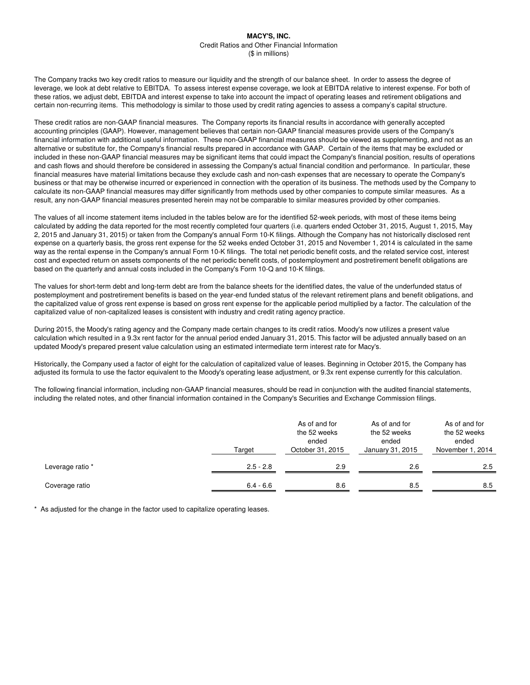The Company tracks two key credit ratios to measure our liquidity and the strength of our balance sheet. In order to assess the degree of leverage, we look at debt relative to EBITDA. To assess interest expense coverage, we look at EBITDA relative to interest expense. For both of these ratios, we adjust debt, EBITDA and interest expense to take into account the impact of operating leases and retirement obligations and certain non-recurring items. This methodology is similar to those used by credit rating agencies to assess a company's capital structure.

These credit ratios are non-GAAP financial measures. The Company reports its financial results in accordance with generally accepted accounting principles (GAAP). However, management believes that certain non-GAAP financial measures provide users of the Company's financial information with additional useful information. These non-GAAP financial measures should be viewed as supplementing, and not as an alternative or substitute for, the Company's financial results prepared in accordance with GAAP. Certain of the items that may be excluded or included in these non-GAAP financial measures may be significant items that could impact the Company's financial position, results of operations and cash flows and should therefore be considered in assessing the Company's actual financial condition and performance. In particular, these financial measures have material limitations because they exclude cash and non-cash expenses that are necessary to operate the Company's business or that may be otherwise incurred or experienced in connection with the operation of its business. The methods used by the Company to calculate its non-GAAP financial measures may differ significantly from methods used by other companies to compute similar measures. As a result, any non-GAAP financial measures presented herein may not be comparable to similar measures provided by other companies.

The values of all income statement items included in the tables below are for the identified 52-week periods, with most of these items being calculated by adding the data reported for the most recently completed four quarters (i.e. quarters ended October 31, 2015, August 1, 2015, May 2, 2015 and January 31, 2015) or taken from the Company's annual Form 10-K filings. Although the Company has not historically disclosed rent expense on a quarterly basis, the gross rent expense for the 52 weeks ended October 31, 2015 and November 1, 2014 is calculated in the same way as the rental expense in the Company's annual Form 10-K filings. The total net periodic benefit costs, and the related service cost, interest cost and expected return on assets components of the net periodic benefit costs, of postemployment and postretirement benefit obligations are based on the quarterly and annual costs included in the Company's Form 10-Q and 10-K filings.

The values for short-term debt and long-term debt are from the balance sheets for the identified dates, the value of the underfunded status of postemployment and postretirement benefits is based on the year-end funded status of the relevant retirement plans and benefit obligations, and the capitalized value of gross rent expense is based on gross rent expense for the applicable period multiplied by a factor. The calculation of the capitalized value of non-capitalized leases is consistent with industry and credit rating agency practice.

During 2015, the Moody's rating agency and the Company made certain changes to its credit ratios. Moody's now utilizes a present value calculation which resulted in a 9.3x rent factor for the annual period ended January 31, 2015. This factor will be adjusted annually based on an updated Moody's prepared present value calculation using an estimated intermediate term interest rate for Macy's.

Historically, the Company used a factor of eight for the calculation of capitalized value of leases. Beginning in October 2015, the Company has adjusted its formula to use the factor equivalent to the Moody's operating lease adjustment, or 9.3x rent expense currently for this calculation.

The following financial information, including non-GAAP financial measures, should be read in conjunction with the audited financial statements, including the related notes, and other financial information contained in the Company's Securities and Exchange Commission filings.

|                  | Target      | As of and for<br>the 52 weeks<br>ended<br>October 31, 2015 | As of and for<br>the 52 weeks<br>ended<br>January 31, 2015 | As of and for<br>the 52 weeks<br>ended<br>November 1, 2014 |
|------------------|-------------|------------------------------------------------------------|------------------------------------------------------------|------------------------------------------------------------|
| Leverage ratio * | $2.5 - 2.8$ | 2.9                                                        | 2.6                                                        | 2.5                                                        |
| Coverage ratio   | $6.4 - 6.6$ | 8.6                                                        | 8.5                                                        | 8.5                                                        |

\* As adjusted for the change in the factor used to capitalize operating leases.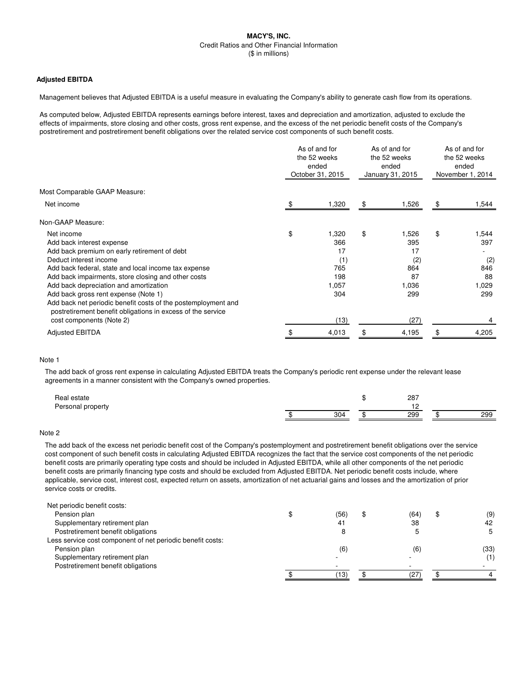### **Adjusted EBITDA**

Management believes that Adjusted EBITDA is a useful measure in evaluating the Company's ability to generate cash flow from its operations.

As computed below, Adjusted EBITDA represents earnings before interest, taxes and depreciation and amortization, adjusted to exclude the effects of impairments, store closing and other costs, gross rent expense, and the excess of the net periodic benefit costs of the Company's postretirement and postretirement benefit obligations over the related service cost components of such benefit costs.

|                                                               | As of and for<br>the 52 weeks<br>ended<br>October 31, 2015 |       | As of and for<br>the 52 weeks<br>ended<br>January 31, 2015 |       | As of and for<br>the 52 weeks<br>ended<br>November 1, 2014 |       |
|---------------------------------------------------------------|------------------------------------------------------------|-------|------------------------------------------------------------|-------|------------------------------------------------------------|-------|
| Most Comparable GAAP Measure:                                 |                                                            |       |                                                            |       |                                                            |       |
| Net income                                                    |                                                            | 1,320 | \$                                                         | 1,526 | \$                                                         | 1,544 |
| Non-GAAP Measure:                                             |                                                            |       |                                                            |       |                                                            |       |
| Net income                                                    | \$                                                         | 1,320 | \$                                                         | 1,526 | \$                                                         | 1,544 |
| Add back interest expense                                     |                                                            | 366   |                                                            | 395   |                                                            | 397   |
| Add back premium on early retirement of debt                  |                                                            | 17    |                                                            | 17    |                                                            |       |
| Deduct interest income                                        |                                                            | (1)   |                                                            | (2)   |                                                            | (2)   |
| Add back federal, state and local income tax expense          |                                                            | 765   |                                                            | 864   |                                                            | 846   |
| Add back impairments, store closing and other costs           |                                                            | 198   |                                                            | 87    |                                                            | 88    |
| Add back depreciation and amortization                        |                                                            | 1,057 |                                                            | 1,036 |                                                            | 1,029 |
| Add back gross rent expense (Note 1)                          |                                                            | 304   |                                                            | 299   |                                                            | 299   |
| Add back net periodic benefit costs of the postemployment and |                                                            |       |                                                            |       |                                                            |       |
| postretirement benefit obligations in excess of the service   |                                                            |       |                                                            |       |                                                            |       |
| cost components (Note 2)                                      |                                                            | (13)  |                                                            | (27)  |                                                            |       |
| <b>Adjusted EBITDA</b>                                        |                                                            | 4,013 |                                                            | 4,195 |                                                            | 4,205 |
|                                                               |                                                            |       |                                                            |       |                                                            |       |

### Note 1

The add back of gross rent expense in calculating Adjusted EBITDA treats the Company's periodic rent expense under the relevant lease agreements in a manner consistent with the Company's owned properties.

| ' estate<br>Real  |     | w | 287 |     |
|-------------------|-----|---|-----|-----|
| Personal property |     |   |     |     |
|                   | 304 |   | 299 | 299 |

# Note 2

The add back of the excess net periodic benefit cost of the Company's postemployment and postretirement benefit obligations over the service cost component of such benefit costs in calculating Adjusted EBITDA recognizes the fact that the service cost components of the net periodic benefit costs are primarily operating type costs and should be included in Adjusted EBITDA, while all other components of the net periodic benefit costs are primarily financing type costs and should be excluded from Adjusted EBITDA. Net periodic benefit costs include, where applicable, service cost, interest cost, expected return on assets, amortization of net actuarial gains and losses and the amortization of prior service costs or credits.

| Net periodic benefit costs:                                |      |      |      |
|------------------------------------------------------------|------|------|------|
| Pension plan                                               | (56) | (64) | (9)  |
| Supplementary retirement plan                              | 41   | 38   | 42   |
| Postretirement benefit obligations                         |      |      | 5    |
| Less service cost component of net periodic benefit costs: |      |      |      |
| Pension plan                                               | (6)  | (6)  | (33) |
| Supplementary retirement plan                              |      |      | (1)  |
| Postretirement benefit obligations                         |      |      |      |
|                                                            | 13)  |      |      |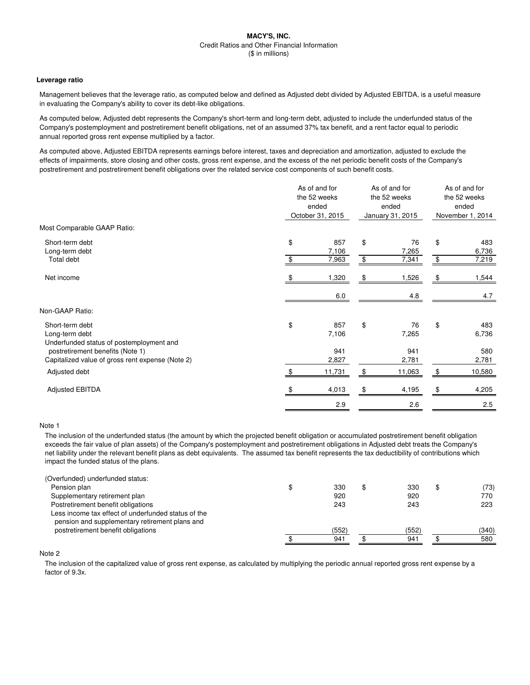#### **Leverage ratio**

Management believes that the leverage ratio, as computed below and defined as Adjusted debt divided by Adjusted EBITDA, is a useful measure in evaluating the Company's ability to cover its debt-like obligations.

As computed below, Adjusted debt represents the Company's short-term and long-term debt, adjusted to include the underfunded status of the Company's postemployment and postretirement benefit obligations, net of an assumed 37% tax benefit, and a rent factor equal to periodic annual reported gross rent expense multiplied by a factor.

As computed above, Adjusted EBITDA represents earnings before interest, taxes and depreciation and amortization, adjusted to exclude the effects of impairments, store closing and other costs, gross rent expense, and the excess of the net periodic benefit costs of the Company's postretirement and postretirement benefit obligations over the related service cost components of such benefit costs.

|                                                                               | As of and for<br>the 52 weeks<br>ended<br>October 31, 2015 |              | As of and for<br>the 52 weeks<br>ended<br>January 31, 2015 |             | As of and for<br>the 52 weeks<br>ended<br>November 1, 2014 |              |
|-------------------------------------------------------------------------------|------------------------------------------------------------|--------------|------------------------------------------------------------|-------------|------------------------------------------------------------|--------------|
|                                                                               |                                                            |              |                                                            |             |                                                            |              |
| Most Comparable GAAP Ratio:                                                   |                                                            |              |                                                            |             |                                                            |              |
| Short-term debt                                                               | \$                                                         | 857          | \$                                                         | 76          | \$                                                         | 483          |
| Long-term debt                                                                |                                                            | 7,106        |                                                            | 7,265       |                                                            | 6,736        |
| Total debt                                                                    |                                                            | 7,963        | \$                                                         | 7,341       | \$                                                         | 7,219        |
| Net income                                                                    |                                                            | 1,320        | \$                                                         | 1,526       | \$                                                         | 1,544        |
|                                                                               |                                                            | 6.0          |                                                            | 4.8         |                                                            | 4.7          |
| Non-GAAP Ratio:                                                               |                                                            |              |                                                            |             |                                                            |              |
| Short-term debt<br>Long-term debt<br>Underfunded status of postemployment and | \$                                                         | 857<br>7,106 | \$                                                         | 76<br>7,265 | \$                                                         | 483<br>6,736 |
| postretirement benefits (Note 1)                                              |                                                            | 941          |                                                            | 941         |                                                            | 580          |
| Capitalized value of gross rent expense (Note 2)                              |                                                            | 2,827        |                                                            | 2,781       |                                                            | 2,781        |
| Adjusted debt                                                                 |                                                            | 11,731       |                                                            | 11,063      |                                                            | 10,580       |
| <b>Adjusted EBITDA</b>                                                        |                                                            | 4,013        |                                                            | 4,195       |                                                            | 4,205        |
|                                                                               |                                                            | 2.9          |                                                            | 2.6         |                                                            | 2.5          |

#### Note 1

The inclusion of the underfunded status (the amount by which the projected benefit obligation or accumulated postretirement benefit obligation exceeds the fair value of plan assets) of the Company's postemployment and postretirement obligations in Adjusted debt treats the Company's net liability under the relevant benefit plans as debt equivalents. The assumed tax benefit represents the tax deductibility of contributions which impact the funded status of the plans.

| (Overfunded) underfunded status:                                                                      |       |       |       |
|-------------------------------------------------------------------------------------------------------|-------|-------|-------|
| Pension plan                                                                                          | 330   | 330   | (73)  |
| Supplementary retirement plan                                                                         | 920   | 920   | 770   |
| Postretirement benefit obligations                                                                    | 243   | 243   | 223   |
| Less income tax effect of underfunded status of the<br>pension and supplementary retirement plans and |       |       |       |
| postretirement benefit obligations                                                                    | (552) | (552) | (340) |
|                                                                                                       | 941   | 941   | 580   |

Note 2

The inclusion of the capitalized value of gross rent expense, as calculated by multiplying the periodic annual reported gross rent expense by a factor of 9.3x.